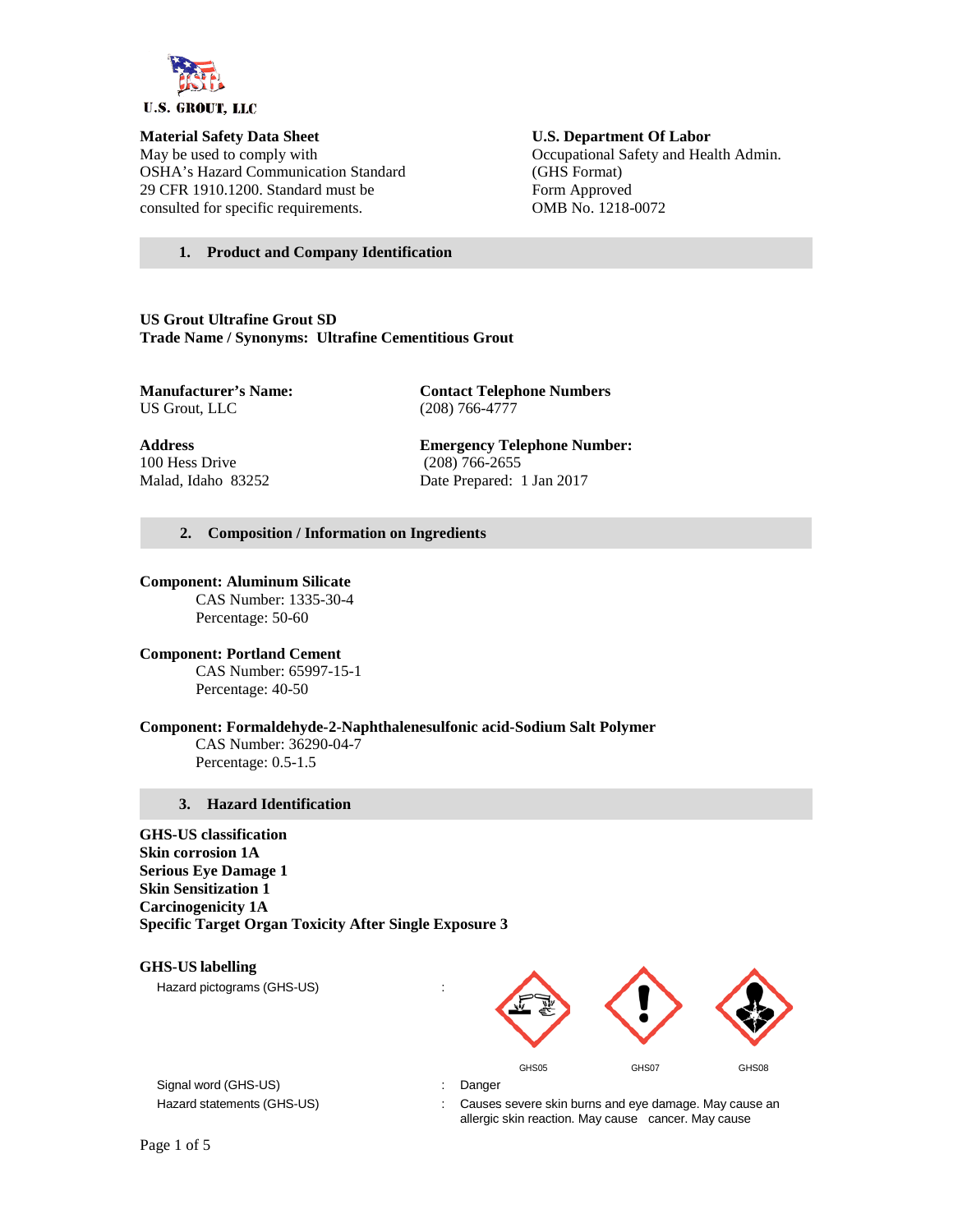

May be used to comply with Occupational Safety and Health Admin. OSHA's Hazard Communication Standard (GHS Format) 29 CFR 1910.1200. Standard must be Form Approved consulted for specific requirements. OMB No. 1218-0072

# **Material Safety Data Sheet U.S. Department Of Labor**

#### **1. Product and Company Identification**

**US Grout Ultrafine Grout SD Trade Name / Synonyms: Ultrafine Cementitious Grout**

**Manufacturer's Name: Contact Telephone Numbers**<br>US Grout, LLC (208) 766-4777 (208) 766-4777

100 Hess Drive (208) 766-2655

**Address Emergency Telephone Number:** Malad, Idaho 83252 Date Prepared: 1 Jan 2017

#### **2. Composition / Information on Ingredients**

#### **Component: Aluminum Silicate**

CAS Number: 1335-30-4 Percentage: 50-60

**Component: Portland Cement** CAS Number: 65997-15-1 Percentage: 40-50

#### **Component: Formaldehyde-2-Naphthalenesulfonic acid-Sodium Salt Polymer**

CAS Number: 36290-04-7 Percentage: 0.5-1.5

#### **3. Hazard Identification**

**GHS-US classification Skin corrosion 1A Serious Eye Damage 1 Skin Sensitization 1 Carcinogenicity 1A Specific Target Organ Toxicity After Single Exposure 3**

## **GHS-US labelling**

Hazard pictograms (GHS-US) in the state of the state of the state of the state of the state of the state of the state of the state of the state of the state of the state of the state of the state of the state of the state



Signal word (GHS-US) **in the state of the Signal word (GHS-US)** and the state of the state of the state of the state of the state of the state of the state of the state of the state of the state of the state of the state o

Hazard statements (GHS-US) : Causes severe skin burns and eye damage. May cause an allergic skin reaction. May cause cancer. May cause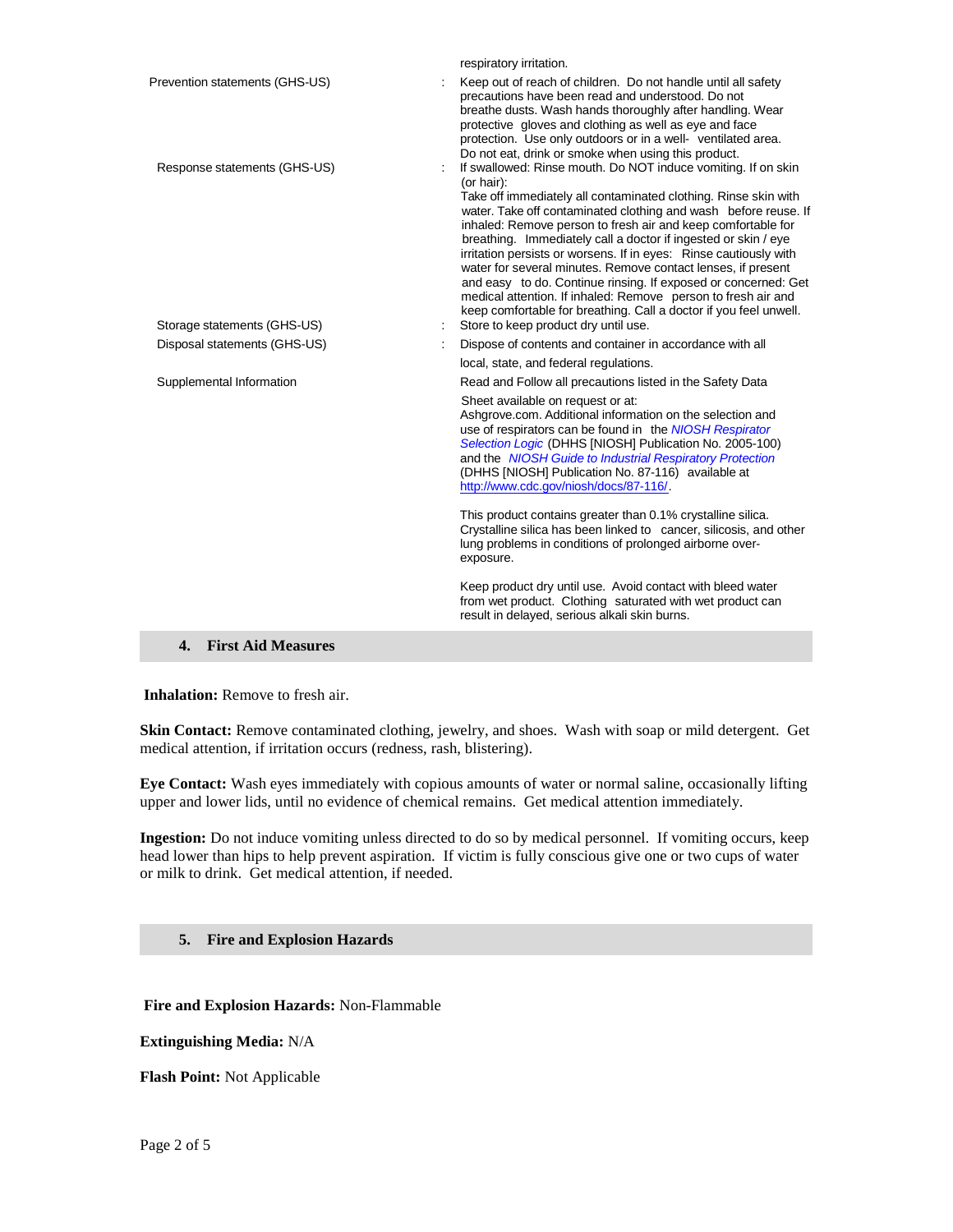| respiratory irritation.                                                                                                                                                                                                                                                                                                                                                                                                                                                                                                                                                                                                                                                                          |
|--------------------------------------------------------------------------------------------------------------------------------------------------------------------------------------------------------------------------------------------------------------------------------------------------------------------------------------------------------------------------------------------------------------------------------------------------------------------------------------------------------------------------------------------------------------------------------------------------------------------------------------------------------------------------------------------------|
| Keep out of reach of children. Do not handle until all safety<br>precautions have been read and understood. Do not<br>breathe dusts. Wash hands thoroughly after handling. Wear<br>protective gloves and clothing as well as eye and face<br>protection. Use only outdoors or in a well- ventilated area.<br>Do not eat, drink or smoke when using this product.                                                                                                                                                                                                                                                                                                                                 |
| If swallowed: Rinse mouth. Do NOT induce vomiting. If on skin<br>(or hair):<br>Take off immediately all contaminated clothing. Rinse skin with<br>water. Take off contaminated clothing and wash before reuse. If<br>inhaled: Remove person to fresh air and keep comfortable for<br>breathing. Immediately call a doctor if ingested or skin / eye<br>irritation persists or worsens. If in eyes: Rinse cautiously with<br>water for several minutes. Remove contact lenses, if present<br>and easy to do. Continue rinsing. If exposed or concerned: Get<br>medical attention. If inhaled: Remove person to fresh air and<br>keep comfortable for breathing. Call a doctor if you feel unwell. |
| Store to keep product dry until use.                                                                                                                                                                                                                                                                                                                                                                                                                                                                                                                                                                                                                                                             |
| Dispose of contents and container in accordance with all                                                                                                                                                                                                                                                                                                                                                                                                                                                                                                                                                                                                                                         |
| local, state, and federal regulations.                                                                                                                                                                                                                                                                                                                                                                                                                                                                                                                                                                                                                                                           |
| Read and Follow all precautions listed in the Safety Data                                                                                                                                                                                                                                                                                                                                                                                                                                                                                                                                                                                                                                        |
| Sheet available on request or at:<br>Ashgrove.com. Additional information on the selection and<br>use of respirators can be found in the NIOSH Respirator<br>Selection Logic (DHHS [NIOSH] Publication No. 2005-100)<br>and the NIOSH Guide to Industrial Respiratory Protection<br>(DHHS [NIOSH] Publication No. 87-116) available at<br>http://www.cdc.gov/niosh/docs/87-116/.                                                                                                                                                                                                                                                                                                                 |
| This product contains greater than 0.1% crystalline silica.<br>Crystalline silica has been linked to cancer, silicosis, and other<br>lung problems in conditions of prolonged airborne over-<br>exposure.                                                                                                                                                                                                                                                                                                                                                                                                                                                                                        |
| Keep product dry until use. Avoid contact with bleed water<br>from wet product. Clothing saturated with wet product can<br>result in delayed, serious alkali skin burns.                                                                                                                                                                                                                                                                                                                                                                                                                                                                                                                         |
|                                                                                                                                                                                                                                                                                                                                                                                                                                                                                                                                                                                                                                                                                                  |

#### **4. First Aid Measures**

**Inhalation:** Remove to fresh air.

**Skin Contact:** Remove contaminated clothing, jewelry, and shoes. Wash with soap or mild detergent. Get medical attention, if irritation occurs (redness, rash, blistering).

**Eye Contact:** Wash eyes immediately with copious amounts of water or normal saline, occasionally lifting upper and lower lids, until no evidence of chemical remains. Get medical attention immediately.

**Ingestion:** Do not induce vomiting unless directed to do so by medical personnel. If vomiting occurs, keep head lower than hips to help prevent aspiration. If victim is fully conscious give one or two cups of water or milk to drink. Get medical attention, if needed.

#### **5. Fire and Explosion Hazards**

**Fire and Explosion Hazards:** Non-Flammable

**Extinguishing Media:** N/A

**Flash Point:** Not Applicable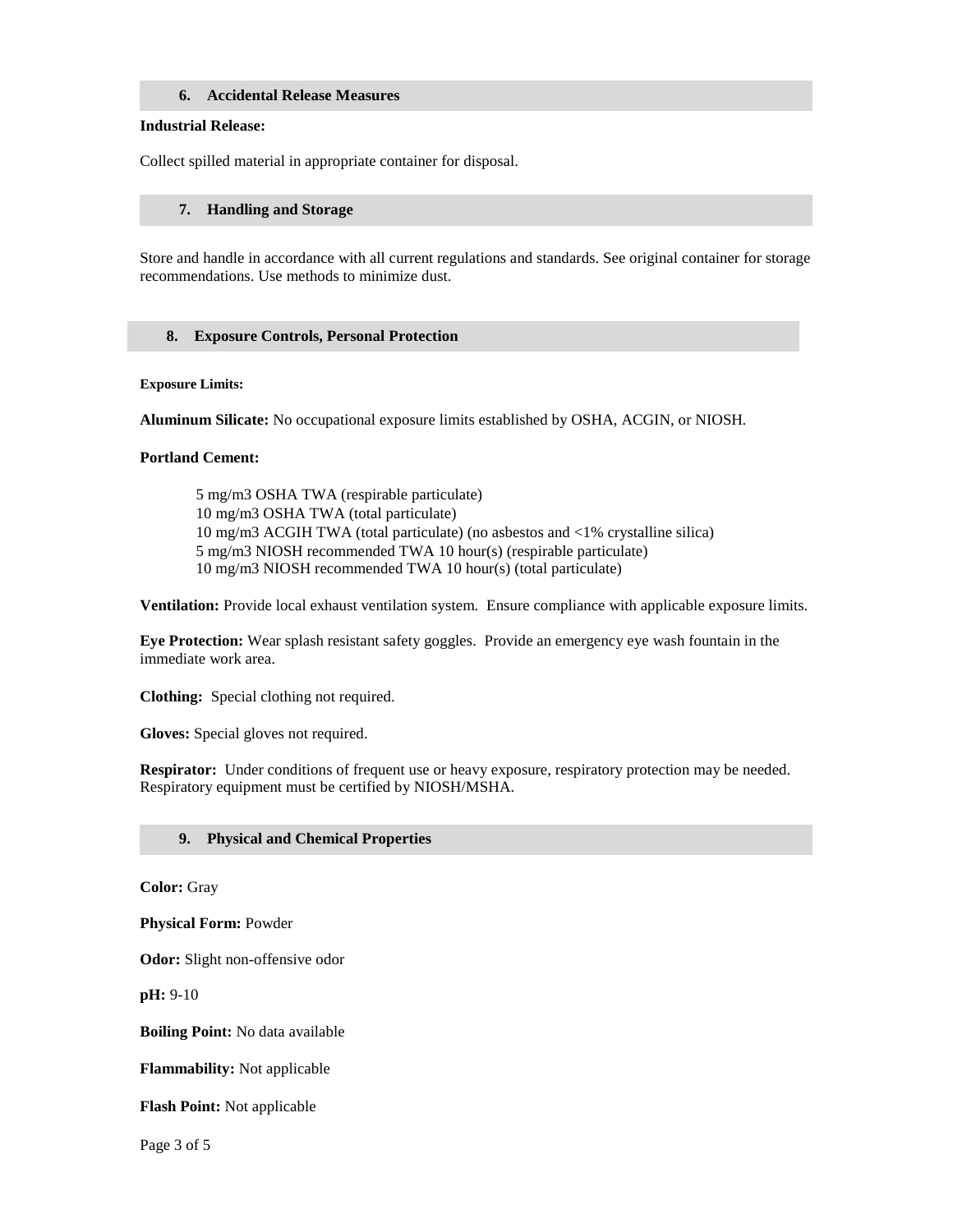#### **6. Accidental Release Measures**

#### **Industrial Release:**

Collect spilled material in appropriate container for disposal.

#### **7. Handling and Storage**

Store and handle in accordance with all current regulations and standards. See original container for storage recommendations. Use methods to minimize dust.

#### **8. Exposure Controls, Personal Protection**

#### **Exposure Limits:**

**Aluminum Silicate:** No occupational exposure limits established by OSHA, ACGIN, or NIOSH*.*

#### **Portland Cement:**

5 mg/m3 OSHA TWA (respirable particulate) 10 mg/m3 OSHA TWA (total particulate) 10 mg/m3 ACGIH TWA (total particulate) (no asbestos and <1% crystalline silica) 5 mg/m3 NIOSH recommended TWA 10 hour(s) (respirable particulate) 10 mg/m3 NIOSH recommended TWA 10 hour(s) (total particulate)

**Ventilation:** Provide local exhaust ventilation system.Ensure compliance with applicable exposure limits.

**Eye Protection:** Wear splash resistant safety goggles. Provide an emergency eye wash fountain in the immediate work area.

**Clothing:** Special clothing not required.

**Gloves:** Special gloves not required.

**Respirator:** Under conditions of frequent use or heavy exposure, respiratory protection may be needed. Respiratory equipment must be certified by NIOSH/MSHA.

#### **9. Physical and Chemical Properties**

**Color:** Gray

**Physical Form:** Powder

**Odor:** Slight non-offensive odor

**pH:** 9-10

**Boiling Point:** No data available

**Flammability:** Not applicable

**Flash Point:** Not applicable

Page 3 of 5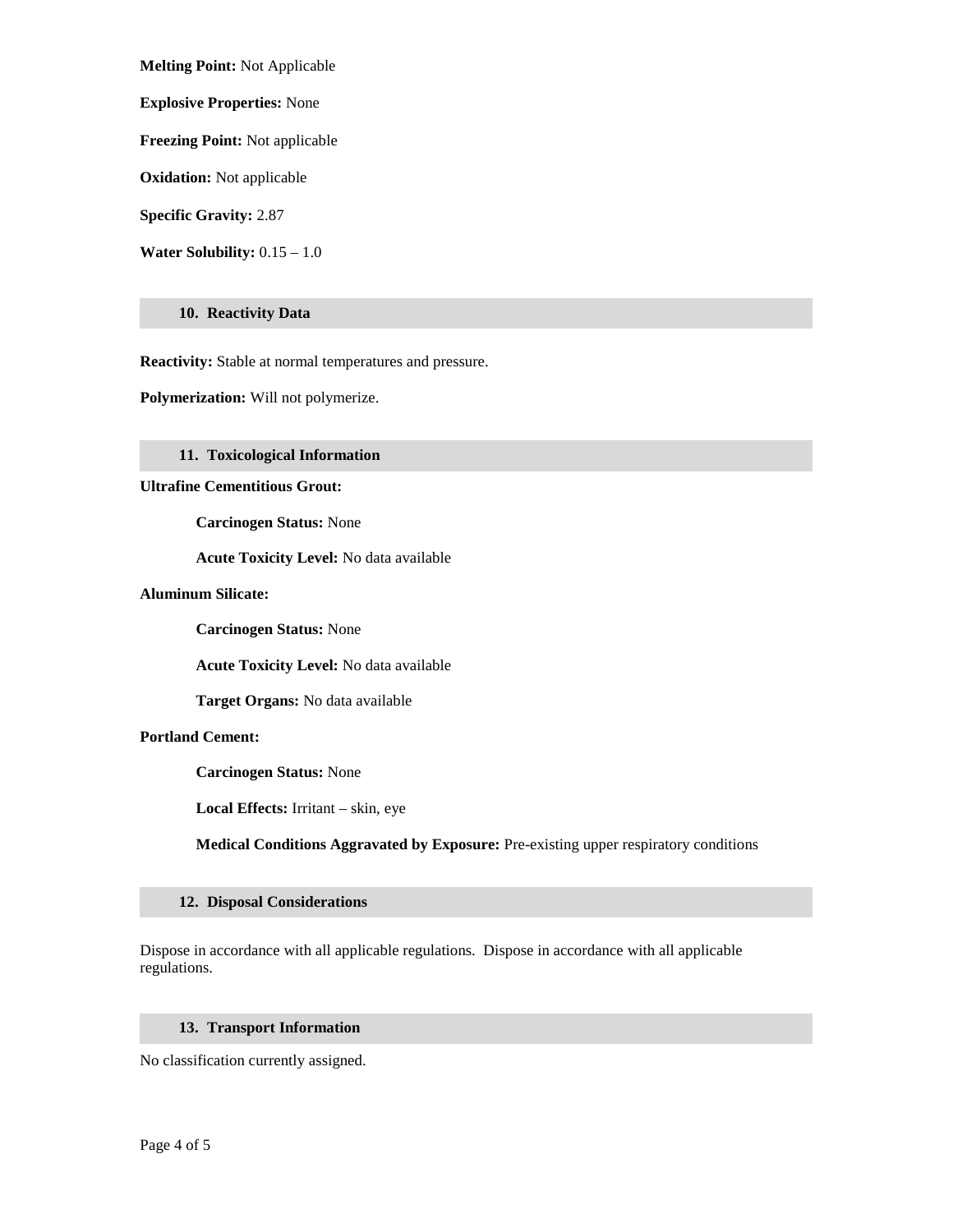**Melting Point:** Not Applicable

**Explosive Properties:** None

**Freezing Point:** Not applicable

**Oxidation:** Not applicable

**Specific Gravity:** 2.87

**Water Solubility:** 0.15 – 1.0

#### **10. Reactivity Data**

**Reactivity:** Stable at normal temperatures and pressure.

**Polymerization:** Will not polymerize.

#### **11. Toxicological Information**

**Ultrafine Cementitious Grout:**

**Carcinogen Status:** None

**Acute Toxicity Level:** No data available

#### **Aluminum Silicate:**

**Carcinogen Status:** None

**Acute Toxicity Level:** No data available

**Target Organs:** No data available

## **Portland Cement:**

**Carcinogen Status:** None

**Local Effects:** Irritant – skin, eye

**Medical Conditions Aggravated by Exposure:** Pre-existing upper respiratory conditions

#### **12. Disposal Considerations**

Dispose in accordance with all applicable regulations. Dispose in accordance with all applicable regulations.

#### **13. Transport Information**

No classification currently assigned.